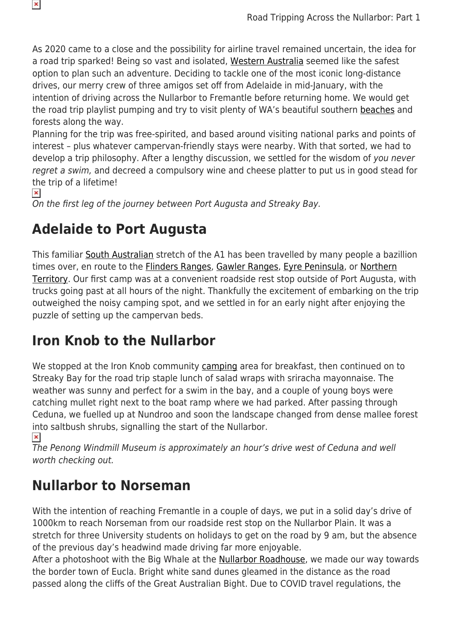As 2020 came to a close and the possibility for airline travel remained uncertain, the idea for a road trip sparked! Being so vast and isolated, [Western Australia](https://www.snowys.com.au/blog/western-australia-camping-hiking-4wding-more/) seemed like the safest option to plan such an adventure. Deciding to tackle one of the most iconic long-distance drives, our merry crew of three amigos set off from Adelaide in mid-January, with the intention of driving across the Nullarbor to Fremantle before returning home. We would get the road trip playlist pumping and try to visit plenty of WA's beautiful southern [beaches](https://www.snowys.com.au/blog/the-best-camping-beaches-in-western-australia/) and forests along the way.

Planning for the trip was free-spirited, and based around visiting national parks and points of interest – plus whatever campervan-friendly stays were nearby. With that sorted, we had to develop a trip philosophy. After a lengthy discussion, we settled for the wisdom of you never regret a swim, and decreed a compulsory wine and cheese platter to put us in good stead for the trip of a lifetime!

```
\pmb{\times}
```
On the first leg of the journey between Port Augusta and Streaky Bay.

#### **Adelaide to Port Augusta**

This familiar [South Australian](https://www.snowys.com.au/blog/best-camping-hiking-4wding-south-australia/) stretch of the A1 has been travelled by many people a bazillion times over, en route to the **Flinders Ranges, [Gawler Ranges,](https://www.snowys.com.au/blog/outback-guide-gawler-ranges/) [Eyre Peninsula](https://www.snowys.com.au/blog/best-south-australia-3-peninsulas/)**, or [Northern](https://www.snowys.com.au/blog/best-of-northern-territory-road-trips-camping-hiking/) [Territory](https://www.snowys.com.au/blog/best-of-northern-territory-road-trips-camping-hiking/). Our first camp was at a convenient roadside rest stop outside of Port Augusta, with trucks going past at all hours of the night. Thankfully the excitement of embarking on the trip outweighed the noisy camping spot, and we settled in for an early night after enjoying the puzzle of setting up the campervan beds.

# **Iron Knob to the Nullarbor**

We stopped at the Iron Knob community [camping](https://www.snowys.com.au/camping) area for breakfast, then continued on to Streaky Bay for the road trip staple lunch of salad wraps with sriracha mayonnaise. The weather was sunny and perfect for a swim in the bay, and a couple of young boys were catching mullet right next to the boat ramp where we had parked. After passing through Ceduna, we fuelled up at Nundroo and soon the landscape changed from dense mallee forest into saltbush shrubs, signalling the start of the Nullarbor.

 $\pmb{\times}$ 

The Penong Windmill Museum is approximately an hour's drive west of Ceduna and well worth checking out.

# **Nullarbor to Norseman**

With the intention of reaching Fremantle in a couple of days, we put in a solid day's drive of 1000km to reach Norseman from our roadside rest stop on the Nullarbor Plain. It was a stretch for three University students on holidays to get on the road by 9 am, but the absence of the previous day's headwind made driving far more enjoyable.

After a photoshoot with the Big Whale at the **[Nullarbor Roadhouse](https://www.nullarborroadhouse.com.au/)**, we made our way towards the border town of Eucla. Bright white sand dunes gleamed in the distance as the road passed along the cliffs of the Great Australian Bight. Due to COVID travel regulations, the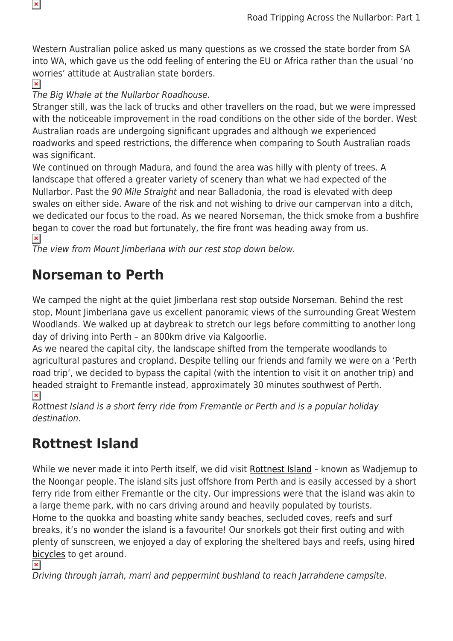Western Australian police asked us many questions as we crossed the state border from SA into WA, which gave us the odd feeling of entering the EU or Africa rather than the usual 'no worries' attitude at Australian state borders.

 $\pmb{\times}$ 

The Big Whale at the Nullarbor Roadhouse.

Stranger still, was the lack of trucks and other travellers on the road, but we were impressed with the noticeable improvement in the road conditions on the other side of the border. West Australian roads are undergoing significant upgrades and although we experienced roadworks and speed restrictions, the difference when comparing to South Australian roads was significant.

We continued on through Madura, and found the area was hilly with plenty of trees. A landscape that offered a greater variety of scenery than what we had expected of the Nullarbor. Past the 90 Mile Straight and near Balladonia, the road is elevated with deep swales on either side. Aware of the risk and not wishing to drive our campervan into a ditch, we dedicated our focus to the road. As we neared Norseman, the thick smoke from a bushfire began to cover the road but fortunately, the fire front was heading away from us.  $\pmb{\times}$ 

The view from Mount Jimberlana with our rest stop down below.

#### **Norseman to Perth**

We camped the night at the quiet Jimberlana rest stop outside Norseman. Behind the rest stop, Mount Jimberlana gave us excellent panoramic views of the surrounding Great Western Woodlands. We walked up at daybreak to stretch our legs before committing to another long day of driving into Perth – an 800km drive via Kalgoorlie.

As we neared the capital city, the landscape shifted from the temperate woodlands to agricultural pastures and cropland. Despite telling our friends and family we were on a 'Perth road trip', we decided to bypass the capital (with the intention to visit it on another trip) and headed straight to Fremantle instead, approximately 30 minutes southwest of Perth.  $\pmb{\times}$ 

Rottnest Island is a short ferry ride from Fremantle or Perth and is a popular holiday destination.

# **Rottnest Island**

While we never made it into Perth itself, we did visit [Rottnest Island](https://rottnestisland.com) - known as Wadjemup to the Noongar people. The island sits just offshore from Perth and is easily accessed by a short ferry ride from either Fremantle or the city. Our impressions were that the island was akin to a large theme park, with no cars driving around and heavily populated by tourists. Home to the quokka and boasting white sandy beaches, secluded coves, reefs and surf breaks, it's no wonder the island is a favourite! Our snorkels got their first outing and with plenty of sunscreen, we enjoyed a day of exploring the sheltered bays and reefs, using [hired](https://www.rottnestisland.com/pedalandflipper) [bicycles](https://www.rottnestisland.com/pedalandflipper) to get around.

 $\pmb{\times}$ 

Driving through jarrah, marri and peppermint bushland to reach Jarrahdene campsite.

 $\pmb{\mathsf{x}}$